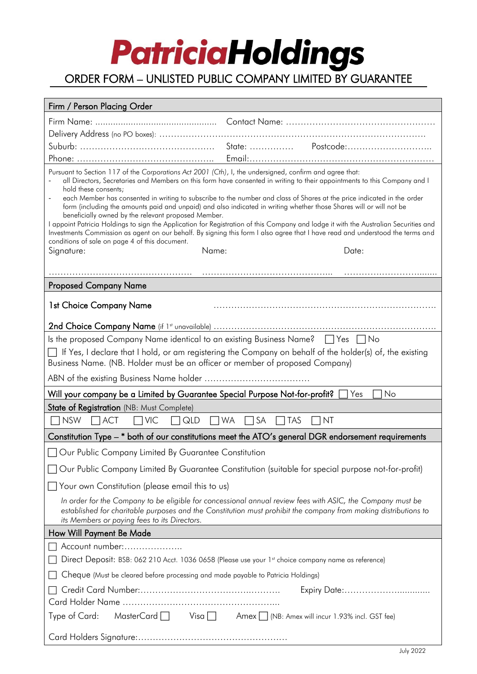## **PatriciaHoldings**

### ORDER FORM – UNLISTED PUBLIC COMPANY LIMITED BY GUARANTEE

| Firm / Person Placing Order                                                                                                                                                                                                                                                                                                                                                                                                                                                                                                                                                                                                                                                                                                                                                                                                                                                                                                       |                                                                                     |  |
|-----------------------------------------------------------------------------------------------------------------------------------------------------------------------------------------------------------------------------------------------------------------------------------------------------------------------------------------------------------------------------------------------------------------------------------------------------------------------------------------------------------------------------------------------------------------------------------------------------------------------------------------------------------------------------------------------------------------------------------------------------------------------------------------------------------------------------------------------------------------------------------------------------------------------------------|-------------------------------------------------------------------------------------|--|
|                                                                                                                                                                                                                                                                                                                                                                                                                                                                                                                                                                                                                                                                                                                                                                                                                                                                                                                                   |                                                                                     |  |
|                                                                                                                                                                                                                                                                                                                                                                                                                                                                                                                                                                                                                                                                                                                                                                                                                                                                                                                                   |                                                                                     |  |
|                                                                                                                                                                                                                                                                                                                                                                                                                                                                                                                                                                                                                                                                                                                                                                                                                                                                                                                                   |                                                                                     |  |
|                                                                                                                                                                                                                                                                                                                                                                                                                                                                                                                                                                                                                                                                                                                                                                                                                                                                                                                                   |                                                                                     |  |
| Pursuant to Section 117 of the Corporations Act 2001 (Cth), I, the undersigned, confirm and agree that:<br>all Directors, Secretaries and Members on this form have consented in writing to their appointments to this Company and I<br>hold these consents;<br>each Member has consented in writing to subscribe to the number and class of Shares at the price indicated in the order<br>form (including the amounts paid and unpaid) and also indicated in writing whether those Shares will or will not be<br>beneficially owned by the relevant proposed Member.<br>I appoint Patricia Holdings to sign the Application for Registration of this Company and lodge it with the Australian Securities and<br>Investments Commission as agent on our behalf. By signing this form I also agree that I have read and understood the terms and<br>conditions of sale on page 4 of this document.<br>Name:<br>Signature:<br>Date: |                                                                                     |  |
|                                                                                                                                                                                                                                                                                                                                                                                                                                                                                                                                                                                                                                                                                                                                                                                                                                                                                                                                   |                                                                                     |  |
|                                                                                                                                                                                                                                                                                                                                                                                                                                                                                                                                                                                                                                                                                                                                                                                                                                                                                                                                   |                                                                                     |  |
| <b>Proposed Company Name</b>                                                                                                                                                                                                                                                                                                                                                                                                                                                                                                                                                                                                                                                                                                                                                                                                                                                                                                      |                                                                                     |  |
| 1st Choice Company Name                                                                                                                                                                                                                                                                                                                                                                                                                                                                                                                                                                                                                                                                                                                                                                                                                                                                                                           |                                                                                     |  |
|                                                                                                                                                                                                                                                                                                                                                                                                                                                                                                                                                                                                                                                                                                                                                                                                                                                                                                                                   |                                                                                     |  |
| Is the proposed Company Name identical to an existing Business Name? $\Box$ Yes $\Box$ No<br>$\overline{\phantom{a}}$ If Yes, I declare that I hold, or am registering the Company on behalf of the holder(s) of, the existing<br>Business Name. (NB. Holder must be an officer or member of proposed Company)                                                                                                                                                                                                                                                                                                                                                                                                                                                                                                                                                                                                                    |                                                                                     |  |
|                                                                                                                                                                                                                                                                                                                                                                                                                                                                                                                                                                                                                                                                                                                                                                                                                                                                                                                                   |                                                                                     |  |
| Will your company be a Limited by Guarantee Special Purpose Not-for-profit?<br>No<br>Yes                                                                                                                                                                                                                                                                                                                                                                                                                                                                                                                                                                                                                                                                                                                                                                                                                                          |                                                                                     |  |
| State of Registration (NB: Must Complete)                                                                                                                                                                                                                                                                                                                                                                                                                                                                                                                                                                                                                                                                                                                                                                                                                                                                                         |                                                                                     |  |
| $\Box$ NSW<br>$\Box$ QLD<br>$\Box$ ACT<br>$\Box$ VIC<br>$\Box$ WA                                                                                                                                                                                                                                                                                                                                                                                                                                                                                                                                                                                                                                                                                                                                                                                                                                                                 | SA<br>$\sqcap$ tas<br>NT                                                            |  |
| Constitution Type - * both of our constitutions meet the ATO's general DGR endorsement requirements                                                                                                                                                                                                                                                                                                                                                                                                                                                                                                                                                                                                                                                                                                                                                                                                                               |                                                                                     |  |
| Our Public Company Limited By Guarantee Constitution                                                                                                                                                                                                                                                                                                                                                                                                                                                                                                                                                                                                                                                                                                                                                                                                                                                                              |                                                                                     |  |
| Our Public Company Limited By Guarantee Constitution (suitable for special purpose not-for-profit)                                                                                                                                                                                                                                                                                                                                                                                                                                                                                                                                                                                                                                                                                                                                                                                                                                |                                                                                     |  |
| □ Your own Constitution (please email this to us)                                                                                                                                                                                                                                                                                                                                                                                                                                                                                                                                                                                                                                                                                                                                                                                                                                                                                 |                                                                                     |  |
| In order for the Company to be eligible for concessional annual review fees with ASIC, the Company must be<br>established for charitable purposes and the Constitution must prohibit the company from making distributions to<br>its Members or paying fees to its Directors.                                                                                                                                                                                                                                                                                                                                                                                                                                                                                                                                                                                                                                                     |                                                                                     |  |
| How Will Payment Be Made                                                                                                                                                                                                                                                                                                                                                                                                                                                                                                                                                                                                                                                                                                                                                                                                                                                                                                          |                                                                                     |  |
| Account number:<br>Direct Deposit: BSB: 062 210 Acct. 1036 0658 (Please use your 1st choice company name as reference)                                                                                                                                                                                                                                                                                                                                                                                                                                                                                                                                                                                                                                                                                                                                                                                                            |                                                                                     |  |
| Cheque (Must be cleared before processing and made payable to Patricia Holdings)                                                                                                                                                                                                                                                                                                                                                                                                                                                                                                                                                                                                                                                                                                                                                                                                                                                  |                                                                                     |  |
| Expiry Date:                                                                                                                                                                                                                                                                                                                                                                                                                                                                                                                                                                                                                                                                                                                                                                                                                                                                                                                      |                                                                                     |  |
| Type of Card:                                                                                                                                                                                                                                                                                                                                                                                                                                                                                                                                                                                                                                                                                                                                                                                                                                                                                                                     | MasterCard $\Box$ Visa $\Box$ Amex $\Box$ (NB: Amex will incur 1.93% incl. GST fee) |  |
|                                                                                                                                                                                                                                                                                                                                                                                                                                                                                                                                                                                                                                                                                                                                                                                                                                                                                                                                   |                                                                                     |  |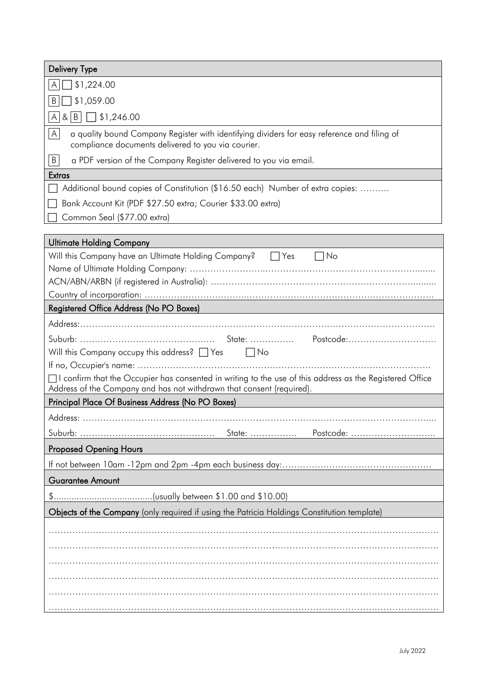| <b>Delivery Type</b>                                                                                                                                                                                                                                    |  |  |
|---------------------------------------------------------------------------------------------------------------------------------------------------------------------------------------------------------------------------------------------------------|--|--|
| \$1,224.00<br>A                                                                                                                                                                                                                                         |  |  |
| \$1,059.00<br>B                                                                                                                                                                                                                                         |  |  |
| $A[8 B]$ \ \$1,246.00                                                                                                                                                                                                                                   |  |  |
| A<br>a quality bound Company Register with identifying dividers for easy reference and filing of<br>compliance documents delivered to you via courier.                                                                                                  |  |  |
| B<br>a PDF version of the Company Register delivered to you via email.                                                                                                                                                                                  |  |  |
| Extras                                                                                                                                                                                                                                                  |  |  |
| Additional bound copies of Constitution (\$16.50 each) Number of extra copies:                                                                                                                                                                          |  |  |
| Bank Account Kit (PDF \$27.50 extra; Courier \$33.00 extra)                                                                                                                                                                                             |  |  |
| Common Seal (\$77.00 extra)                                                                                                                                                                                                                             |  |  |
| <b>Ultimate Holding Company</b>                                                                                                                                                                                                                         |  |  |
| Will this Company have an Ultimate Holding Company? <sub>12</sub> Yes<br>$\vert$ $\vert$ $\vert$ $\vert$ $\vert$ $\vert$                                                                                                                                |  |  |
|                                                                                                                                                                                                                                                         |  |  |
|                                                                                                                                                                                                                                                         |  |  |
|                                                                                                                                                                                                                                                         |  |  |
| Registered Office Address (No PO Boxes)                                                                                                                                                                                                                 |  |  |
| Will this Company occupy this address? $\Box$ Yes $\Box$ No<br>$\Box$ I confirm that the Occupier has consented in writing to the use of this address as the Registered Office<br>Address of the Company and has not withdrawn that consent (required). |  |  |
| Principal Place Of Business Address (No PO Boxes)                                                                                                                                                                                                       |  |  |
| Address:                                                                                                                                                                                                                                                |  |  |
| State:<br>Postcode:                                                                                                                                                                                                                                     |  |  |
| <b>Proposed Opening Hours</b>                                                                                                                                                                                                                           |  |  |
|                                                                                                                                                                                                                                                         |  |  |
| Guarantee Amount                                                                                                                                                                                                                                        |  |  |
|                                                                                                                                                                                                                                                         |  |  |
| Objects of the Company (only required if using the Patricia Holdings Constitution template)                                                                                                                                                             |  |  |
|                                                                                                                                                                                                                                                         |  |  |
|                                                                                                                                                                                                                                                         |  |  |
|                                                                                                                                                                                                                                                         |  |  |
|                                                                                                                                                                                                                                                         |  |  |
|                                                                                                                                                                                                                                                         |  |  |
|                                                                                                                                                                                                                                                         |  |  |
|                                                                                                                                                                                                                                                         |  |  |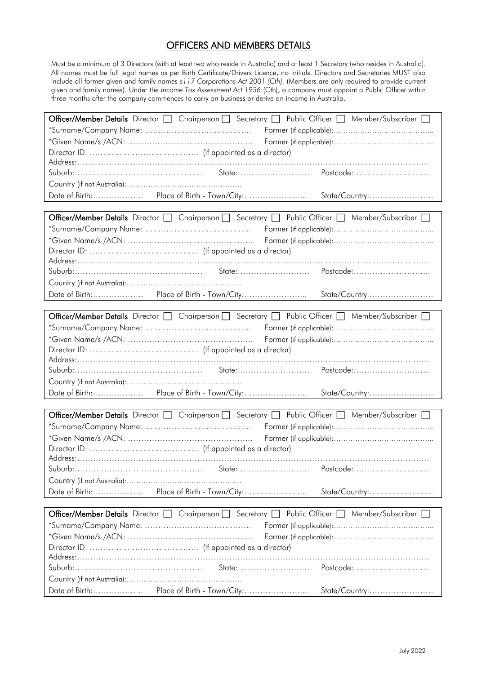#### OFFICERS AND MEMBERS DETAILS

Must be a minimum of 3 Directors (with at least two who reside in Australia) and at least 1 Secretary (who resides in Australia). All names must be full legal names as per Birth Certificate/Drivers Licence, no initials. Directors and Secretaries MUST also include all former given and family names *s117 Corporations Act 2001 (Cth).* (Members are only required to provide current given and family names). Under the *Income Tax Assessment Act 1936* (Cth), a company must appoint a Public Officer within three months after the company commences to carry on business or derive an income in Australia.

| Officer/Member Details Director   Chairperson   Secretary   Public Officer   Member/Subscriber   |                     |  |
|--------------------------------------------------------------------------------------------------|---------------------|--|
|                                                                                                  |                     |  |
|                                                                                                  |                     |  |
|                                                                                                  |                     |  |
|                                                                                                  |                     |  |
|                                                                                                  | Postcode:           |  |
|                                                                                                  |                     |  |
|                                                                                                  | State/Country:      |  |
|                                                                                                  |                     |  |
| Officer/Member Details Director   Chairperson   Secretary   Public Officer   Member/Subscriber   |                     |  |
|                                                                                                  |                     |  |
|                                                                                                  |                     |  |
|                                                                                                  |                     |  |
|                                                                                                  |                     |  |
|                                                                                                  |                     |  |
|                                                                                                  |                     |  |
|                                                                                                  | State/Country:      |  |
|                                                                                                  |                     |  |
| Officer/Member Details Director □ Chairperson □ Secretary □ Public Officer □ Member/Subscriber □ |                     |  |
|                                                                                                  |                     |  |
|                                                                                                  |                     |  |
|                                                                                                  |                     |  |
|                                                                                                  |                     |  |
|                                                                                                  |                     |  |
|                                                                                                  |                     |  |
|                                                                                                  | State/Country:      |  |
|                                                                                                  |                     |  |
| Officer/Member Details Director □ Chairperson □ Secretary □ Public Officer □ Member/Subscriber □ |                     |  |
|                                                                                                  |                     |  |
|                                                                                                  |                     |  |
|                                                                                                  |                     |  |
|                                                                                                  |                     |  |
|                                                                                                  | Postcode:           |  |
|                                                                                                  |                     |  |
| Place of Birth - Town/City:<br>Date of Birth:                                                    | State/Country:      |  |
|                                                                                                  |                     |  |
| Officer/Member Details Director   Chairperson   Secretary   Public Officer   Member/Subscriber   |                     |  |
|                                                                                                  |                     |  |
|                                                                                                  |                     |  |
|                                                                                                  |                     |  |
|                                                                                                  |                     |  |
|                                                                                                  |                     |  |
|                                                                                                  | State:<br>Postcode: |  |
|                                                                                                  |                     |  |